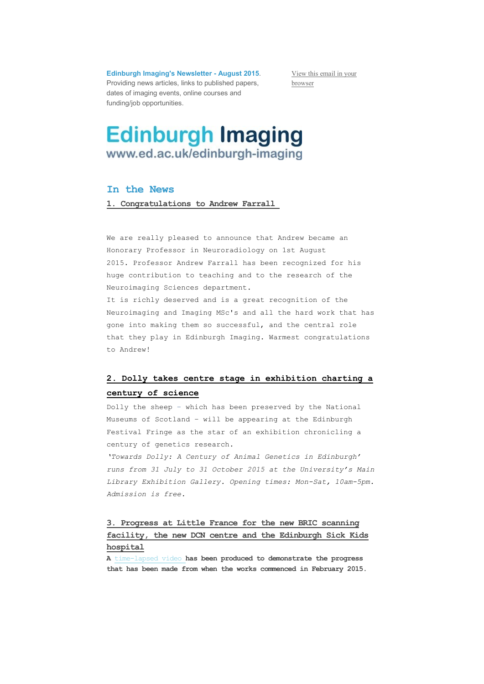**Edinburgh Imaging's Newsletter - August 2015**. Providing news articles, links to published papers, dates of imaging events, online courses and funding/job opportunities.

[View this email in your](*|ARCHIVE|*)  [browser](*|ARCHIVE|*)

# **Edinburgh Imaging** www.ed.ac.uk/edinburgh-imaging

#### **In the News**

**1. Congratulations to Andrew Farrall**

We are really pleased to announce that Andrew became an Honorary Professor in Neuroradiology on 1st August 2015. Professor Andrew Farrall has been recognized for his huge contribution to teaching and to the research of the Neuroimaging Sciences department.

It is richly deserved and is a great recognition of the Neuroimaging and Imaging MSc's and all the hard work that has gone into making them so successful, and the central role that they play in Edinburgh Imaging. Warmest congratulations to Andrew!

#### **2. Dolly takes centre stage in exhibition charting a century of science**

Dolly the sheep – which has been preserved by the National Museums of Scotland – will be appearing at the Edinburgh Festival Fringe as the star of an exhibition chronicling a century of genetics research.

*'Towards Dolly: A Century of Animal Genetics in Edinburgh' runs from 31 July to 31 October 2015 at the University's Main Library Exhibition Gallery. Opening times: Mon-Sat, 10am-5pm. Admission is free.*

### **3. Progress at Little France for the new BRIC scanning facility, the new DCN centre and the Edinburgh Sick Kids hospital**

**A** [time-lapsed video](http://www.nhslothian.scot.nhs.uk/OurOrganisation/PropertyDevelopments/CurrentProjects/RHSCDCNRIECampusWorks/media/Pages/Time-Lapse-Video-(Feb-2015---June-2015).aspx) **has been produced to demonstrate the progress that has been made from when the works commenced in February 2015.**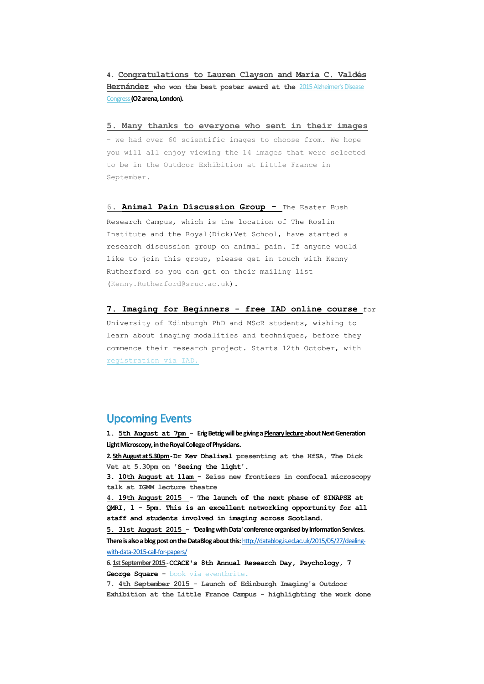**4. Congratulations to Lauren Clayson and Maria C. Valdés Hernández who won the best poster award at the** [2015 Alzheimer's Disease](https://www.regonline.co.uk/builder/site/Default.aspx?EventID=1563612)  [Congress](https://www.regonline.co.uk/builder/site/Default.aspx?EventID=1563612) **(O2 arena, London).**

**5. Many thanks to everyone who sent in their images** 

- we had over 60 scientific images to choose from. We hope you will all enjoy viewing the 14 images that were selected to be in the Outdoor Exhibition at Little France in September.

6. **Animal Pain Discussion Group -** The Easter Bush Research Campus, which is the location of The Roslin Institute and the Royal(Dick)Vet School, have started a research discussion group on animal pain. If anyone would like to join this group, please get in touch with Kenny Rutherford so you can get on their mailing list [\(Kenny.Rutherford@sruc.ac.uk\)](mailto:Kenny.Rutherford@sruc.ac.uk).

**7. Imaging for Beginners - free IAD online course** for

University of Edinburgh PhD and MScR students, wishing to learn about imaging modalities and techniques, before they commence their research project. Starts 12th October, with [registration via IAD.](http://www.ed.ac.uk/schools-departments/institute-academic-development/postgraduate/doctoral/courses/course-list#Beginners Guide to Imaging for MVM, HSS and SCE Students)

#### Upcoming Events

**1. 5th August at 7pm - Erig Betzig will be giving a Plenary lecture about Next Generation Light Microscopy, in the Royal College of Physicians.**

**2. 5th August at 5.30pm -Dr Kev Dhaliwal presenting at the HfSA, The Dick Vet at 5.30pm on 'Seeing the light'.**

**3. 10th August at 11am - Zeiss new frontiers in confocal microscopy talk at IGMM lecture theatre**

**4. 19th August 2015 - The launch of the next phase of SINAPSE at QMRI, 1 - 5pm. This is an excellent networking opportunity for all staff and students involved in imaging across Scotland.**

**5. 31st August 2015 - 'Dealing with Data' conference organised by Information Services. There is also a blog post on the DataBlog about this:** [http://datablog.is.ed.ac.uk/2015/05/27/dealing](http://datablog.is.ed.ac.uk/2015/05/27/dealing-with-data-2015-call-for-papers/)[with-data-2015-call-for-papers/](http://datablog.is.ed.ac.uk/2015/05/27/dealing-with-data-2015-call-for-papers/)

**6. 1st September 2015 -CCACE's 8th Annual Research Day, Psychology, 7 George Square -** [book via eventbrite.](http://www.eventbrite.com/e/ccace-8th-annual-research-day-tickets-7680854643)

**7. 4th September 2015 - Launch of Edinburgh Imaging's Outdoor Exhibition at the Little France Campus - highlighting the work done**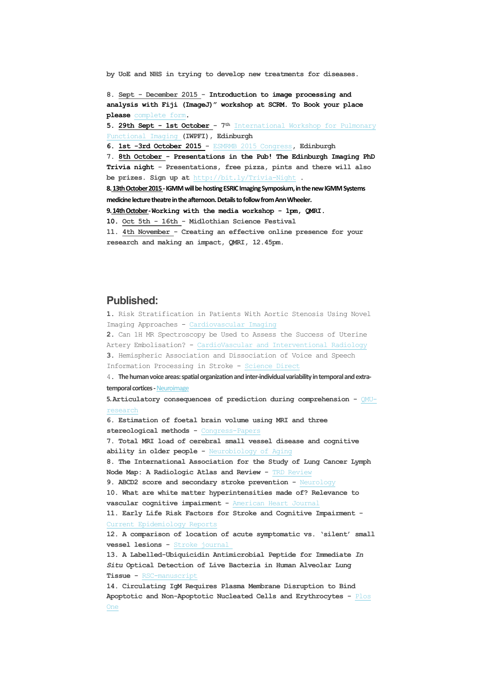**by UoE and NHS in trying to develop new treatments for diseases.**

**8. Sept - December 2015 - Introduction to image processing and analysis with Fiji (ImageJ)" workshop at SCRM. To Book your place please** [complete form](https://docs.google.com/forms/d/1gu3IhtBo71mNCArfPpeugxQjl0-ychTZNua_3G4SffE/viewform?usp=send_form)**.**

**5. 29th Sept - 1st October - 7th** [International Workshop for Pulmonary](http://bit.ly/1AtTwyK)  [Functional Imaging](http://bit.ly/1AtTwyK) **(IWPFI), Edinburgh**

**6. 1st -3rd October 2015 -** [ESMRMB 2015 Congress](http://bit.ly/ESMRMB)**, Edinburgh**

**7. 8th October - Presentations in the Pub! The Edinburgh Imaging PhD Trivia night - Presentations, free pizza, pints and there will also be prizes. Sign up at** <http://bit.ly/Trivia-Night> **.**

**8.13th October 2015 -IGMM will be hosting ESRIC Imaging Symposium, in the new IGMM Systems medicine lecture theatre in the afternoon. Details to follow from Ann Wheeler.**

**9.14th October -Working with the media workshop - 1pm, QMRI.**

**10. Oct 5th - 16th - Midlothian Science Festival**

**11. 4th November - Creating an effective online presence for your research and making an impact, QMRI, 12.45pm.**

#### **Published:**

**1.** Risk Stratification in Patients With Aortic Stenosis Using Novel Imaging Approaches - [Cardiovascular Imaging](http://circimaging.ahajournals.org/content/8/8/e003421.short)

**2.** Can 1H MR Spectroscopy be Used to Assess the Success of Uterine Artery Embolisation? - [CardioVascular and Interventional Radiology](http://link.springer.com/article/10.1007/s00270-015-1179-z) **3.** Hemispheric Association and Dissociation of Voice and Speech

Information Processing in Stroke - [Science Direct](http://www.sciencedirect.com/science/article/pii/S0010945215002452)

4. **The human voice areas: spatial organization and inter-individual variability in temporal and extratemporal cortices -**[Neuroimage](http://www.sciencedirect.com/science/article/pii/S1053811915005558)

**5. Articulatory consequences of prediction during comprehension -** [QMU](http://eresearch.qmu.ac.uk/3938/1/ICPhS%20Drake%20Schaeffler%20Corley.pdf)[research](http://eresearch.qmu.ac.uk/3938/1/ICPhS%20Drake%20Schaeffler%20Corley.pdf)

**6. Estimation of foetal brain volume using MRI and three stereological methods -** [Congress-Papers](http://popups.ulg.ac.be/0351-580X/index.php?id=3624&file=1&pid=3614) **7. Total MRI load of cerebral small vessel disease and cognitive ability in older people -** [Neurobiology of Aging](http://www.sciencedirect.com/science/article/pii/S0197458015003358) **8. The International Association for the Study of Lung Cancer Lymph Node Map: A Radiologic Atlas and Review -** [TRD Review](http://www.e-trd.org/upload/abstract/files/(180-189)%20TRD_78_3%2015-015.pdf) **9. ABCD2 score and secondary stroke prevention -** [Neurology](http://www.neurology.org/content/early/2015/07/01/WNL.0000000000001780.short) **10. What are white matter hyperintensities made of? Relevance to vascular cognitive impairment -** [American Heart Journal](http://jaha.ahajournals.org/content/4/6/001140) **11. Early Life Risk Factors for Stroke and Cognitive Impairment -** [Current Epidemiology Reports](http://link.springer.com/article/10.1007/s40471-015-0051-7) **12. A comparison of location of acute symptomatic vs. 'silent' small vessel lesions -** [Stroke journal](http://onlinelibrary.wiley.com/doi/10.1111/ijs.12558/abstract) **13. A Labelled-Ubiquicidin Antimicrobial Peptide for Immediate** *In Situ* **Optical Detection of Live Bacteria in Human Alveolar Lung Tissue -** [RSC-manuscript](http://pubs.rsc.org/en/content/articlepdf/2015/sc/c5sc00960j) **14. Circulating IgM Requires Plasma Membrane Disruption to Bind Apoptotic and Non-Apoptotic Nucleated Cells and Erythrocytes -** [Plos](http://www.ncbi.nlm.nih.gov/pmc/articles/PMC4488261/) 

[One](http://www.ncbi.nlm.nih.gov/pmc/articles/PMC4488261/)